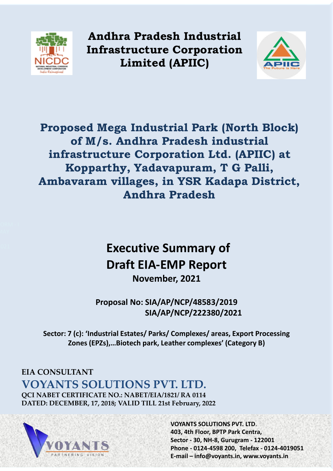

**Andhra Pradesh Industrial Infrastructure Corporation Limited (APIIC)**



**Proposed Mega Industrial Park (North Block) of M/s. Andhra Pradesh industrial infrastructure Corporation Ltd. (APIIC) at Kopparthy, Yadavapuram, T G Palli, Ambavaram villages, in YSR Kadapa District, Andhra Pradesh**

# **Executive Summary of Draft EIA-EMP Report November, 2021**

**Proposal No: SIA/AP/NCP/48583/2019 SIA/AP/NCP/222380/2021** 

**Sector: 7 (c): 'Industrial Estates/ Parks/ Complexes/ areas, Export Processing Zones (EPZs),…Biotech park, Leather complexes' (Category B)**

# **EIA CONSULTANT VOYANTS SOLUTIONS PVT. LTD.**

**QCI NABET CERTIFICATE NO.: NABET/EIA/1821/ RA 0114 DATED: DECEMBER, 17, 2018; VALID TILL 21st February, 2022** 



**VOYANTS SOLUTIONS PVT. LTD**. **403, 4th Floor, BPTP Park Centra, Sector - 30, NH-8, Gurugram - 122001 Phone - 0124-4598 200, Telefax - 0124-4019051 E-mail – info@voyants.in, www.voyants.in**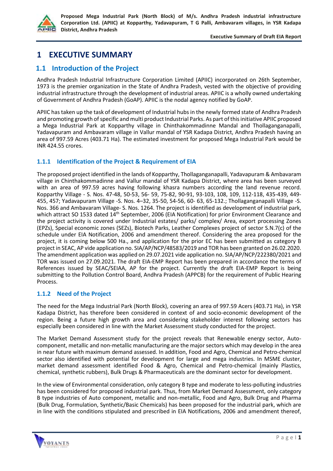

# **1 EXECUTIVE SUMMARY**

# **1.1 Introduction of the Project**

Andhra Pradesh Industrial Infrastructure Corporation Limited (APIIC) incorporated on 26th September, 1973 is the premier organization in the State of Andhra Pradesh, vested with the objective of providing industrial infrastructure through the development of industrial areas. APIIC is a wholly owned undertaking of Government of Andhra Pradesh (GoAP). APIIC is the nodal agency notified by GoAP.

APIIC has taken up the task of development of Industrial hubs in the newly formed state of Andhra Pradesh and promoting growth of specific and multi product Industrial Parks. As part of this initiative APIIC proposed a Mega Industrial Park at Kopparthy village in Chinthakommadinne Mandal and Thollaganganapalli, Yadavapuram and Ambavaram village in Vallur mandal of YSR Kadapa District, Andhra Pradesh having an area of 997.59 Acres (403.71 Ha). The estimated investment for proposed Mega Industrial Park would be INR 424.55 crores.

# **1.1.1 Identification of the Project & Requirement of EIA**

The proposed project identified in the lands of Kopparthy, Thollaganganapalli, Yadavapuram & Ambavaram village in Chinthakommadinne and Vallur mandal of YSR Kadapa District, where area has been surveyed with an area of 997.59 acres having following khasra numbers according the land revenue record. Kopparthy Village - S. Nos. 47-48, 50-53, 56- 59, 75-82, 90-91, 93-103, 108, 109, 112-118, 435-439, 449- 455, 457; Yadavapuram Village -S. Nos. 4–32, 35-50, 54-56, 60- 63, 65-132.; Thollaganganapalli Village -S. Nos. 366 and Ambavaram Village- S. Nos. 1264. The project is identified as development of industrial park, which attract SO 1533 dated 14<sup>th</sup> September, 2006 (EIA Notification) for prior Environment Clearance and the project activity is covered under Industrial estates/ parks/ complex/ Area, export processing Zones (EPZs), Special economic zones (SEZs), Biotech Parks, Leather Complexes project of sector S.N.7(c) of the schedule under EIA Notification, 2006 and amendment thereof. Considering the area proposed for the project, it is coming below 500 Ha., and application for the prior EC has been submitted as category B project in SEAC, AP vide application no. SIA/AP/NCP/48583/2019 and TOR has been granted on 26.02.2020. The amendment application was applied on 29.07.2021 vide application no. SIA/AP/NCP/222380/2021 and TOR was issued on 27.09.2021. The draft EIA-EMP Report has been prepared in accordance the terms of References issued by SEAC/SEIAA, AP for the project. Currently the draft EIA-EMP Report is being submitting to the Pollution Control Board, Andhra Pradesh (APPCB) for the requirement of Public Hearing Process.

# **1.1.2 Need of the Project**

The need for the Mega Industrial Park (North Block), covering an area of 997.59 Acers (403.71 Ha), in YSR Kadapa District, has therefore been considered in context of and socio-economic development of the region. Being a future high growth area and considering stakeholder interest following sectors has especially been considered in line with the Market Assessment study conducted for the project.

The Market Demand Assessment study for the project reveals that Renewable energy sector, Autocomponent, metallic and non-metallic manufacturing are the major sectors which may develop in the area in near future with maximum demand assessed. In addition, Food and Agro, Chemical and Petro-chemical sector also identified with potential for development for large and mega industries. In MSME cluster, market demand assessment identified Food & Agro, Chemical and Petro-chemical (mainly Plastics, chemical, synthetic rubbers), Bulk Drugs & Pharmaceuticals are the dominant sector for development.

In the view of Environmental consideration, only category B type and moderate to less-polluting industries has been considered for proposed industrial park. Thus, from Market Demand Assessment, only category B type industries of Auto component, metallic and non-metallic, Food and Agro, Bulk Drug and Pharma (Bulk Drug, Formulation, Synthetic/Basic Chemicals) has been proposed for the industrial park, which are in line with the conditions stipulated and prescribed in EIA Notifications, 2006 and amendment thereof,

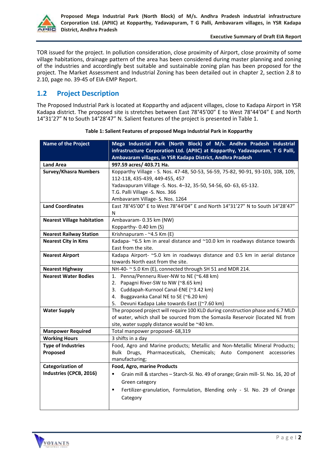

TOR issued for the project. In pollution consideration, close proximity of Airport, close proximity of some village habitations, drainage pattern of the area has been considered during master planning and zoning of the industries and accordingly best suitable and sustainable zoning plan has been proposed for the project. The Market Assessment and Industrial Zoning has been detailed out in chapter 2, section 2.8 to 2.10, page no. 39-45 of EIA-EMP Report.

# **1.2 Project Description**

The Proposed Industrial Park is located at Kopparthy and adjacent villages, close to Kadapa Airport in YSR Kadapa district. The proposed site is stretches between East 78°45'00" E to West 78°44'04" E and North 14°31'27" N to South 14°28'47" N. Salient features of the project is presented in Table 1.

| <b>Name of the Project</b>        | Mega Industrial Park (North Block) of M/s. Andhra Pradesh industrial                                 |  |  |  |  |
|-----------------------------------|------------------------------------------------------------------------------------------------------|--|--|--|--|
|                                   | infrastructure Corporation Ltd. (APIIC) at Kopparthy, Yadavapuram, T G Palli,                        |  |  |  |  |
|                                   | Ambavaram villages, in YSR Kadapa District, Andhra Pradesh                                           |  |  |  |  |
| <b>Land Area</b>                  | 997.59 acres/ 403.71 Ha.                                                                             |  |  |  |  |
| <b>Survey/Khasra Numbers</b>      | Kopparthy Village - S. Nos. 47-48, 50-53, 56-59, 75-82, 90-91, 93-103, 108, 109,                     |  |  |  |  |
|                                   | 112-118, 435-439, 449-455, 457                                                                       |  |  |  |  |
|                                   | Yadavapuram Village - S. Nos. 4-32, 35-50, 54-56, 60-63, 65-132.                                     |  |  |  |  |
|                                   | T.G. Palli Village -S. Nos. 366                                                                      |  |  |  |  |
|                                   | Ambavaram Village- S. Nos. 1264                                                                      |  |  |  |  |
| <b>Land Coordinates</b>           | East 78°45'00" E to West 78°44'04" E and North 14°31'27" N to South 14°28'47"                        |  |  |  |  |
|                                   | N                                                                                                    |  |  |  |  |
| <b>Nearest Village habitation</b> | Ambavaram- 0.35 km (NW)                                                                              |  |  |  |  |
|                                   | Kopparthy-0.40 km (S)                                                                                |  |  |  |  |
| <b>Nearest Railway Station</b>    | Krishnapuram - ~4.5 Km (E)                                                                           |  |  |  |  |
| <b>Nearest City in Kms</b>        | Kadapa- $\approx$ 6.5 km in areal distance and $\approx$ 10.0 km in roadways distance towards        |  |  |  |  |
|                                   | East from the site.                                                                                  |  |  |  |  |
| <b>Nearest Airport</b>            | Kadapa Airport- ~5.0 km in roadways distance and 0.5 km in aerial distance                           |  |  |  |  |
|                                   | towards North east from the site.                                                                    |  |  |  |  |
| <b>Nearest Highway</b>            | NH-40- ~ 5.0 Km (E), connected through SH 51 and MDR 214.                                            |  |  |  |  |
| <b>Nearest Water Bodies</b>       | 1. Penna/Penneru River-NW to NE (~6.48 km)                                                           |  |  |  |  |
|                                   | 2. Papagni River-SW to NW (~8.65 km)                                                                 |  |  |  |  |
|                                   | 3. Cuddapah-Kurnool Canal-ENE (~3.42 km)                                                             |  |  |  |  |
|                                   | 4. Buggavanka Canal NE to SE (~6.20 km)                                                              |  |  |  |  |
|                                   | 5. Devuni Kadapa Lake towards East ((~7.60 km)                                                       |  |  |  |  |
| <b>Water Supply</b>               | The proposed project will require 100 KLD during construction phase and 6.7 MLD                      |  |  |  |  |
|                                   | of water, which shall be sourced from the Somasila Reservoir (located NE from                        |  |  |  |  |
|                                   | site, water supply distance would be ~40 km.                                                         |  |  |  |  |
| <b>Manpower Required</b>          | Total manpower proposed- 68,319                                                                      |  |  |  |  |
| <b>Working Hours</b>              | 3 shifts in a day                                                                                    |  |  |  |  |
| <b>Type of Industries</b>         | Food, Agro and Marine products; Metallic and Non-Metallic Mineral Products;                          |  |  |  |  |
| Proposed                          | Bulk Drugs, Pharmaceuticals, Chemicals; Auto Component accessories                                   |  |  |  |  |
|                                   | manufacturing;                                                                                       |  |  |  |  |
| <b>Categorization of</b>          | <b>Food, Agro, marine Products</b>                                                                   |  |  |  |  |
| Industries (CPCB, 2016)           | $\blacksquare$<br>Grain mill & starches - Starch-Sl. No. 49 of orange; Grain mill- Sl. No. 16, 20 of |  |  |  |  |
|                                   | Green category                                                                                       |  |  |  |  |
|                                   | Fertilizer-granulation, Formulation, Blending only - Sl. No. 29 of Orange<br>п                       |  |  |  |  |
|                                   | Category                                                                                             |  |  |  |  |
|                                   |                                                                                                      |  |  |  |  |
|                                   |                                                                                                      |  |  |  |  |

**Table 1: Salient Features of proposed Mega Industrial Park in Kopparthy**

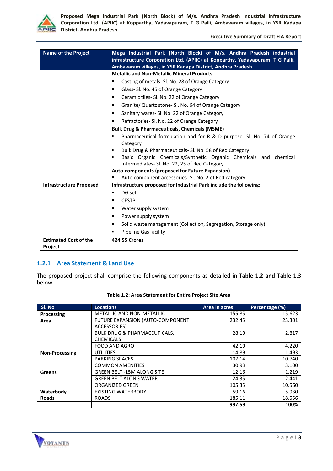

**Executive Summary of Draft EIA Report**

| <b>Name of the Project</b>     | Mega Industrial Park (North Block) of M/s. Andhra Pradesh industrial<br>infrastructure Corporation Ltd. (APIIC) at Kopparthy, Yadavapuram, T G Palli,<br>Ambavaram villages, in YSR Kadapa District, Andhra Pradesh |  |  |  |  |
|--------------------------------|---------------------------------------------------------------------------------------------------------------------------------------------------------------------------------------------------------------------|--|--|--|--|
|                                | <b>Metallic and Non-Metallic Mineral Products</b>                                                                                                                                                                   |  |  |  |  |
|                                | Casting of metals- Sl. No. 28 of Orange Category<br>٠                                                                                                                                                               |  |  |  |  |
|                                | Glass- Sl. No. 45 of Orange Category<br>٠                                                                                                                                                                           |  |  |  |  |
|                                | Ceramic tiles- Sl. No. 22 of Orange Category<br>٠                                                                                                                                                                   |  |  |  |  |
|                                | Granite/ Quartz stone- Sl. No. 64 of Orange Category<br>٠                                                                                                                                                           |  |  |  |  |
|                                | Sanitary wares- Sl. No. 22 of Orange Category<br>٠                                                                                                                                                                  |  |  |  |  |
|                                | Refractories- Sl. No. 22 of Orange Category<br>٠                                                                                                                                                                    |  |  |  |  |
|                                | <b>Bulk Drug &amp; Pharmaceuticals, Chemicals (MSME)</b>                                                                                                                                                            |  |  |  |  |
|                                | Pharmaceutical formulation and for R & D purpose- Sl. No. 74 of Orange<br>٠                                                                                                                                         |  |  |  |  |
|                                | Category                                                                                                                                                                                                            |  |  |  |  |
|                                | Bulk Drug & Pharmaceuticals- Sl. No. 58 of Red Category                                                                                                                                                             |  |  |  |  |
|                                | Basic Organic Chemicals/Synthetic Organic Chemicals and chemical<br>٠<br>intermediates- Sl. No. 22, 25 of Red Category                                                                                              |  |  |  |  |
|                                | Auto-components (proposed for Future Expansion)                                                                                                                                                                     |  |  |  |  |
|                                | Auto component accessories- Sl. No. 2 of Red category<br>п                                                                                                                                                          |  |  |  |  |
| <b>Infrastructure Proposed</b> | Infrastructure proposed for Industrial Park include the following:                                                                                                                                                  |  |  |  |  |
|                                | DG set<br>٠                                                                                                                                                                                                         |  |  |  |  |
|                                | <b>CESTP</b><br>٠                                                                                                                                                                                                   |  |  |  |  |
|                                | Water supply system<br>٠                                                                                                                                                                                            |  |  |  |  |
|                                | Power supply system<br>٠                                                                                                                                                                                            |  |  |  |  |
|                                | Solid waste management (Collection, Segregation, Storage only)<br>٠                                                                                                                                                 |  |  |  |  |
|                                | Pipeline Gas facility                                                                                                                                                                                               |  |  |  |  |
| <b>Estimated Cost of the</b>   | <b>424.55 Crores</b>                                                                                                                                                                                                |  |  |  |  |
| Project                        |                                                                                                                                                                                                                     |  |  |  |  |

# **1.2.1 Area Statement & Land Use**

The proposed project shall comprise the following components as detailed in **Table 1.2 and Table 1.3** below.

| Sl. No                | <b>Locations</b>                        | Area in acres | Percentage (%) |
|-----------------------|-----------------------------------------|---------------|----------------|
| Processing            | <b>METALLIC AND NON-METALLIC</b>        | 155.85        | 15.623         |
| Area                  | FUTURE EXPANSION (AUTO-COMPONENT        | 232.45        | 23.301         |
|                       | ACCESSORIES)                            |               |                |
|                       | <b>BULK DRUG &amp; PHARMACEUTICALS,</b> | 28.10         | 2.817          |
|                       | <b>CHEMICALS</b>                        |               |                |
|                       | <b>FOOD AND AGRO</b>                    | 42.10         | 4.220          |
| <b>Non-Processing</b> | <b>UTILITIES</b>                        | 14.89         | 1.493          |
|                       | <b>PARKING SPACES</b>                   | 107.14        | 10.740         |
|                       | <b>COMMON AMENITIES</b>                 | 30.93         | 3.100          |
| Greens                | <b>GREEN BELT -15M ALONG SITE</b>       | 12.16         | 1.219          |
|                       | <b>GREEN BELT ALONG WATER</b>           | 24.35         | 2.441          |
|                       | ORGANIZED GREEN                         | 105.35        | 10.560         |
| Waterbody             | <b>EXISTING WATERBODY</b>               | 59.16         | 5.930          |
| <b>Roads</b>          | <b>ROADS</b>                            | 185.11        | 18.556         |
|                       |                                         | 997.59        | 100%           |

#### **Table 1.2: Area Statement for Entire Project Site Area**

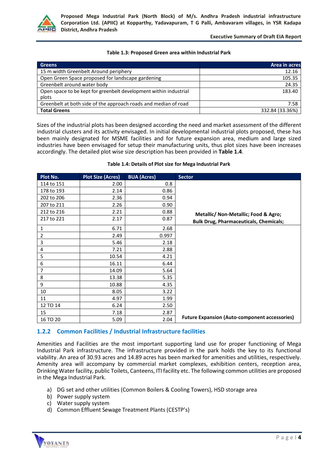

#### **Executive Summary of Draft EIA Report**

#### **Table 1.3: Proposed Green area within Industrial Park**

| <b>Greens</b>                                                     | Area in acres   |
|-------------------------------------------------------------------|-----------------|
| 15 m width Greenbelt Around periphery                             | 12.16           |
| Open Green Space proposed for landscape gardening                 | 105.35          |
| Greenbelt around water body                                       | 24.35           |
| Open space to be kept for greenbelt development within industrial | 183.40          |
| plots                                                             |                 |
| Greenbelt at both side of the approach roads and median of road   | 7.58            |
| <b>Total Greens</b>                                               | 332.84 (33.36%) |

Sizes of the industrial plots has been designed according the need and market assessment of the different industrial clusters and its activity envisaged. In initial developmental industrial plots proposed, these has been mainly designated for MSME facilities and for future expansion area, medium and large sized industries have been envisaged for setup their manufacturing units, thus plot sizes have been increases accordingly. The detailed plot wise size description has been provided in **Table 1.4**.

#### **Plot No. Plot Size (Acres) BUA (Acres) Sector** 114 to 151 2.00 2.00 **Metallic/ Non-Metallic; Food & Agro; Bulk Drug, Pharmaceuticals, Chemicals;** 178 to 193 and 178 to 193 202 to 206 2.36 2.36 207 to 211 2.26 0.90 212 to 216 2.21 0.88 217 to 221 | 2.17 | 0.87 1 6.71 2.68 **Future Expansion (Auto-component accessories)** 2 2.49 0.997 3 5.46 2.18 4 7.21 2.88 5 10.54 4.21 **6 16.11** 6.44 7 14.09 5.64 8 13.38 5.35 9 10.88 4.35 10 8.05 3.22 11 4.97 1.99 12 TO 14 (6.24) 6.24 15 7.18 2.87 16 TO 20 16 TO 20 2.04

#### **Table 1.4: Details of Plot size for Mega Industrial Park**

# **1.2.2 Common Facilities / Industrial Infrastructure facilities**

Amenities and Facilities are the most important supporting land use for proper functioning of Mega Industrial Park infrastructure. The infrastructure provided in the park holds the key to its functional viability. An area of 30.93 acres and 14.89 acres has been marked for amenities and utilities, respectively. Amenity area will accompany by commercial market complexes, exhibition centers, reception area, Drinking Water facility, public Toilets, Canteens, ITI facility etc. The following common utilities are proposed in the Mega Industrial Park.

- a) DG set and other utilities (Common Boilers & Cooling Towers), HSD storage area
- b) Power supply system
- c) Water supply system
- d) Common Effluent Sewage Treatment Plants (CESTP's)

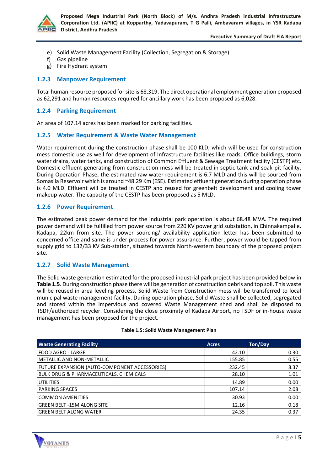

#### **Executive Summary of Draft EIA Report**

- e) Solid Waste Management Facility (Collection, Segregation & Storage)
- f) Gas pipeline
- g) Fire Hydrant system

## **1.2.3 Manpower Requirement**

Total human resource proposed forsite is 68,319. The direct operational employment generation proposed as 62,291 and human resources required for ancillary work has been proposed as 6,028.

## **1.2.4 Parking Requirement**

An area of 107.14 acres has been marked for parking facilities.

## **1.2.5 Water Requirement & Waste Water Management**

Water requirement during the construction phase shall be 100 KLD, which will be used for construction mess domestic use as well for development of Infrastructure facilities like roads, Office buildings, storm water drains, water tanks, and construction of Common Effluent & Sewage Treatment facility (CESTP) etc. Domestic effluent generating from construction mess will be treated in septic tank and soak-pit facility. During Operation Phase, the estimated raw water requirement is 6.7 MLD and this will be sourced from Somasila Reservoir which is around ~48.29 Km (ESE). Estimated effluent generation during operation phase is 4.0 MLD. Effluent will be treated in CESTP and reused for greenbelt development and cooling tower makeup water. The capacity of the CESTP has been proposed as 5 MLD.

## **1.2.6 Power Requirement**

The estimated peak power demand for the industrial park operation is about 68.48 MVA. The required power demand will be fulfilled from power source from 220 KV power grid substation, in Chinnakampalle, Kadapa, 22km from site. The power sourcing/ availability application letter has been submitted to concerned office and same is under process for power assurance. Further, power would be tapped from supply grid to 132/33 KV Sub-station, situated towards North-western boundary of the proposed project site.

## **1.2.7 Solid Waste Management**

The Solid waste generation estimated for the proposed industrial park project has been provided below in **Table 1.5**. During construction phase there will be generation of construction debris and top soil. This waste will be reused in area leveling process. Solid Waste from Construction mess will be transferred to local municipal waste management facility. During operation phase, Solid Waste shall be collected, segregated and stored within the impervious and covered Waste Management shed and shall be disposed to TSDF/authorized recycler. Considering the close proximity of Kadapa Airport, no TSDF or in-house waste management has been proposed for the project.

| <b>Waste Generating Facility</b>              | <b>Acres</b> | Ton/Day |
|-----------------------------------------------|--------------|---------|
| <b>FOOD AGRO - LARGE</b>                      | 42.10        | 0.30    |
| <b>METALLIC AND NON-METALLIC</b>              | 155.85       | 0.55    |
| FUTURE EXPANSION (AUTO-COMPONENT ACCESSORIES) | 232.45       | 8.37    |
| BULK DRUG & PHARMACEUTICALS, CHEMICALS        | 28.10        | 1.01    |
| <b>UTILITIES</b>                              | 14.89        | 0.00    |
| <b>PARKING SPACES</b>                         | 107.14       | 2.08    |
| <b>COMMON AMENITIES</b>                       | 30.93        | 0.00    |
| <b>GREEN BELT -15M ALONG SITE</b>             | 12.16        | 0.18    |
| <b>GREEN BELT ALONG WATER</b>                 | 24.35        | 0.37    |

#### **Table 1.5: Solid Waste Management Plan**

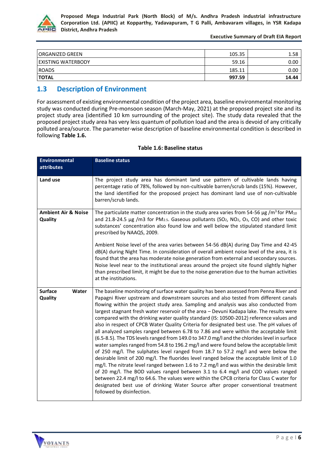

**Executive Summary of Draft EIA Report**

| I ORGANIZED GREEN         | 105.35 | 1.58  |
|---------------------------|--------|-------|
| <b>EXISTING WATERBODY</b> | 59.16  | 0.00  |
| <b>ROADS</b>              | 185.11 | 0.00  |
| <b>TOTAL</b>              | 997.59 | 14.44 |

# **1.3 Description of Environment**

For assessment of existing environmental condition of the project area, baseline environmental monitoring study was conducted during Pre-monsoon season (March-May, 2021) at the proposed project site and its project study area (identified 10 km surrounding of the project site). The study data revealed that the proposed project study area has very less quantum of pollution load and the area is devoid of any critically polluted area/source. The parameter-wise description of baseline environmental condition is described in following **Table 1.6.**

| <b>Environmental</b><br><b>attributes</b>                                                                                                                                                                                                                                                            | <b>Baseline status</b>                                                                                                                                                                                                                                                                                                                                                                                                                                                                                                                                                                                                                                                                                                                                                                                                                                                                                                                                                                                                                                                                                                                                                                                                                                                                                                                                                                                                        |  |
|------------------------------------------------------------------------------------------------------------------------------------------------------------------------------------------------------------------------------------------------------------------------------------------------------|-------------------------------------------------------------------------------------------------------------------------------------------------------------------------------------------------------------------------------------------------------------------------------------------------------------------------------------------------------------------------------------------------------------------------------------------------------------------------------------------------------------------------------------------------------------------------------------------------------------------------------------------------------------------------------------------------------------------------------------------------------------------------------------------------------------------------------------------------------------------------------------------------------------------------------------------------------------------------------------------------------------------------------------------------------------------------------------------------------------------------------------------------------------------------------------------------------------------------------------------------------------------------------------------------------------------------------------------------------------------------------------------------------------------------------|--|
| Land use<br>The project study area has dominant land use pattern of cultivable lands having<br>percentage ratio of 78%, followed by non-cultivable barren/scrub lands (15%). However,<br>the land identified for the proposed project has dominant land use of non-cultivable<br>barren/scrub lands. |                                                                                                                                                                                                                                                                                                                                                                                                                                                                                                                                                                                                                                                                                                                                                                                                                                                                                                                                                                                                                                                                                                                                                                                                                                                                                                                                                                                                                               |  |
| <b>Ambient Air &amp; Noise</b><br>Quality                                                                                                                                                                                                                                                            | The particulate matter concentration in the study area varies from 54-56 $\mu$ g /m <sup>3</sup> for PM <sub>10</sub><br>and 21.8-24.5 µg /m3 for PM <sub>2.5</sub> . Gaseous pollutants (SO <sub>2</sub> , NO <sub>2</sub> , O <sub>3</sub> , CO) and other toxic<br>substances' concentration also found low and well below the stipulated standard limit<br>prescribed by NAAQS, 2009.                                                                                                                                                                                                                                                                                                                                                                                                                                                                                                                                                                                                                                                                                                                                                                                                                                                                                                                                                                                                                                     |  |
|                                                                                                                                                                                                                                                                                                      | Ambient Noise level of the area varies between 54-56 dB(A) during Day Time and 42-45<br>dB(A) during Night Time. In consideration of overall ambient noise level of the area, it is<br>found that the area has moderate noise generation from external and secondary sources.<br>Noise level near to the institutional areas around the project site found slightly higher<br>than prescribed limit, it might be due to the noise generation due to the human activities<br>at the institutions.                                                                                                                                                                                                                                                                                                                                                                                                                                                                                                                                                                                                                                                                                                                                                                                                                                                                                                                              |  |
| <b>Surface</b><br>Water<br>Quality                                                                                                                                                                                                                                                                   | The baseline monitoring of surface water quality has been assessed from Penna River and<br>Papagni River upstream and downstream sources and also tested from different canals<br>flowing within the project study area. Sampling and analysis was also conducted from<br>largest stagnant fresh water reservoir of the area - Devuni Kadapa lake. The results were<br>compared with the drinking water quality standard (IS: 10500-2012) reference values and<br>also in respect of CPCB Water Quality Criteria for designated best use. The pH values of<br>all analyzed samples ranged between 6.78 to 7.86 and were within the acceptable limit<br>(6.5-8.5). The TDS levels ranged from 149.0 to 347.0 mg/l and the chlorides level in surface<br>water samples ranged from 54.8 to 196.2 mg/l and were found below the acceptable limit<br>of 250 mg/l. The sulphates level ranged from 18.7 to 57.2 mg/l and were below the<br>desirable limit of 200 mg/l. The fluorides level ranged below the acceptable limit of 1.0<br>mg/l. The nitrate level ranged between 1.6 to 7.2 mg/l and was within the desirable limit<br>of 20 mg/l. The BOD values ranged between 3.1 to 6.4 mg/l and COD values ranged<br>between 22.4 mg/l to 64.6. The values were within the CPCB criteria for Class C water for<br>designated best use of drinking Water Source after proper conventional treatment<br>followed by disinfection. |  |

## **Table 1.6: Baseline status**

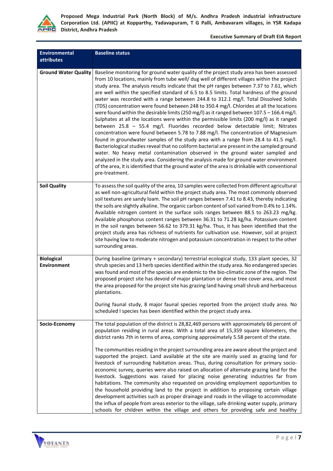

#### **Executive Summary of Draft EIA Report**

| <b>Environmental</b><br><b>attributes</b> | <b>Baseline status</b>                                                                                                                                                                                                                                                                                                                                                                                                                                                                                                                                                                                                                                                                                                                                                                                                                                                                                                                                                                                                                                                                                                                                                                                                                                                                                                                                                                                                      |
|-------------------------------------------|-----------------------------------------------------------------------------------------------------------------------------------------------------------------------------------------------------------------------------------------------------------------------------------------------------------------------------------------------------------------------------------------------------------------------------------------------------------------------------------------------------------------------------------------------------------------------------------------------------------------------------------------------------------------------------------------------------------------------------------------------------------------------------------------------------------------------------------------------------------------------------------------------------------------------------------------------------------------------------------------------------------------------------------------------------------------------------------------------------------------------------------------------------------------------------------------------------------------------------------------------------------------------------------------------------------------------------------------------------------------------------------------------------------------------------|
| <b>Ground Water Quality</b>               | Baseline monitoring for ground water quality of the project study area has been assessed<br>from 10 locations, mainly from tube well/ dug well of different villages within the project<br>study area. The analysis results indicate that the pH ranges between 7.37 to 7.61, which<br>are well within the specified standard of 6.5 to 8.5 limits. Total hardness of the ground<br>water was recorded with a range between 244.8 to 312.1 mg/l. Total Dissolved Solids<br>(TDS) concentration were found between 248 to 350.4 mg/l. Chlorides at all the locations<br>were found within the desirable limits (250 mg/l) as it ranged between $107.5 - 166.4$ mg/l.<br>Sulphates at all the locations were within the permissible limits (200 mg/l) as it ranged<br>between 25.8 - 55.4 mg/l. Fluorides recorded below detectable limit; Nitrates<br>concentration were found between 5.78 to 7.88 mg/l. The concentration of Magnesium<br>found in groundwater samples of the study area with a range from 28.4 to 41.5 mg/l.<br>Bacteriological studies reveal that no coliform bacterial are present in the sampled ground<br>water. No heavy metal contamination observed in the ground water sampled and<br>analyzed in the study area. Considering the analysis made for ground water environment<br>of the area, it is identified that the ground water of the area is drinkable with conventional<br>pre-treatment. |
| <b>Soil Quality</b>                       | To assess the soil quality of the area, 10 samples were collected from different agricultural<br>as well non-agricultural field within the project study area. The most commonly observed<br>soil textures are sandy loam. The soil pH ranges between 7.41 to 8.43, thereby indicating<br>the soils are slightly alkaline. The organic carbon content of soil varied from 0.4% to 1.14%.<br>Available nitrogen content in the surface soils ranges between 88.5 to 263.23 mg/kg.<br>Available phosphorus content ranges between 36.31 to 71.28 kg/ha. Potassium content<br>in the soil ranges between 56.62 to 379.31 kg/ha. Thus, it has been identified that the<br>project study area has richness of nutrients for cultivation use. However, soil at project<br>site having low to moderate nitrogen and potassium concentration in respect to the other<br>surrounding areas.                                                                                                                                                                                                                                                                                                                                                                                                                                                                                                                                          |
| <b>Biological</b><br><b>Environment</b>   | During baseline (primary + secondary) terrestrial ecological study, 133 plant species, 32<br>shrub species and 13 herb species identified within the study area. No endangered species<br>was found and most of the species are endemic to the bio-climatic zone of the region. The<br>proposed project site has devoid of major plantation or dense tree cover area, and most<br>the area proposed for the project site has grazing land having small shrub and herbaceous<br>plantations.<br>During faunal study, 8 major faunal species reported from the project study area. No<br>scheduled I species has been identified within the project study area.                                                                                                                                                                                                                                                                                                                                                                                                                                                                                                                                                                                                                                                                                                                                                               |
| Socio-Economy                             | The total population of the district is 28,82,469 persons with approximately 66 percent of<br>population residing in rural areas. With a total area of 15,359 square kilometers, the<br>district ranks 7th in terms of area, comprising approximately 5.58 percent of the state.<br>The communities residing in the project surrounding area are aware about the project and<br>supported the project. Land available at the site are mainly used as grazing land for<br>livestock of surrounding habitation areas. Thus, during consultation for primary socio-<br>economic survey, queries were also raised on allocation of alternate grazing land for the<br>livestock. Suggestions was raised for placing noise generating industries far from<br>habitations. The community also requested on providing employment opportunities to<br>the household providing land to the project in addition to proposing certain village<br>development activities such as proper drainage and roads in the village to accommodate<br>the influx of people from areas exterior to the village, safe drinking water supply, primary<br>schools for children within the village and others for providing safe and healthy                                                                                                                                                                                                            |

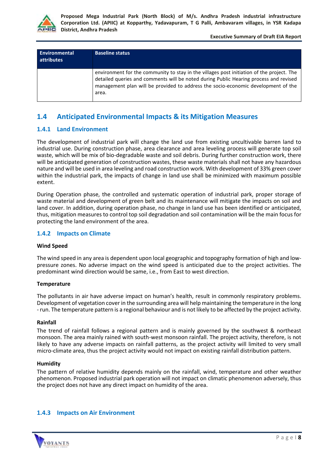

**Executive Summary of Draft EIA Report**

| <b>Environmental</b><br>attributes | <b>Baseline status</b>                                                                                                                                                                                                                                                           |
|------------------------------------|----------------------------------------------------------------------------------------------------------------------------------------------------------------------------------------------------------------------------------------------------------------------------------|
|                                    | environment for the community to stay in the villages post initiation of the project. The<br>detailed queries and comments will be noted during Public Hearing process and revised<br>management plan will be provided to address the socio-economic development of the<br>area. |

# **1.4 Anticipated Environmental Impacts & its Mitigation Measures**

# **1.4.1 Land Environment**

The development of industrial park will change the land use from existing uncultivable barren land to industrial use. During construction phase, area clearance and area leveling process will generate top soil waste, which will be mix of bio-degradable waste and soil debris. During further construction work, there will be anticipated generation of construction wastes, these waste materials shall not have any hazardous nature and will be used in area leveling and road construction work. With development of 33% green cover within the industrial park, the impacts of change in land use shall be minimized with maximum possible extent.

During Operation phase, the controlled and systematic operation of industrial park, proper storage of waste material and development of green belt and its maintenance will mitigate the impacts on soil and land cover. In addition, during operation phase, no change in land use has been identified or anticipated, thus, mitigation measures to control top soil degradation and soil contamination will be the main focus for protecting the land environment of the area.

## **1.4.2 Impacts on Climate**

#### **Wind Speed**

The wind speed in any area is dependent upon local geographic and topography formation of high and lowpressure zones. No adverse impact on the wind speed is anticipated due to the project activities. The predominant wind direction would be same, i.e., from East to west direction.

#### **Temperature**

The pollutants in air have adverse impact on human's health, result in commonly respiratory problems. Development of vegetation cover in the surrounding area will help maintaining the temperature in the long - run. The temperature pattern is a regional behaviour and is not likely to be affected by the project activity.

#### **Rainfall**

The trend of rainfall follows a regional pattern and is mainly governed by the southwest & northeast monsoon. The area mainly rained with south-west monsoon rainfall. The project activity, therefore, is not likely to have any adverse impacts on rainfall patterns, as the project activity will limited to very small micro-climate area, thus the project activity would not impact on existing rainfall distribution pattern.

#### **Humidity**

The pattern of relative humidity depends mainly on the rainfall, wind, temperature and other weather phenomenon. Proposed industrial park operation will not impact on climatic phenomenon adversely, thus the project does not have any direct impact on humidity of the area.

# **1.4.3 Impacts on Air Environment**

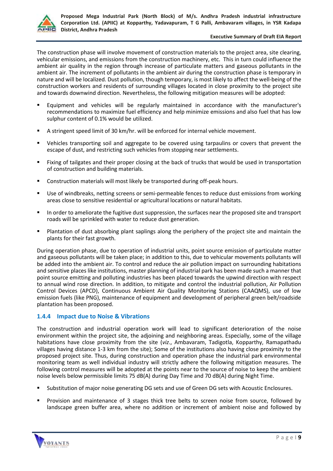

#### **Executive Summary of Draft EIA Report**

The construction phase will involve movement of construction materials to the project area, site clearing, vehicular emissions, and emissions from the construction machinery, etc. This in turn could influence the ambient air quality in the region through increase of particulate matters and gaseous pollutants in the ambient air. The increment of pollutants in the ambient air during the construction phase is temporary in nature and will be localized. Dust pollution, though temporary, is most likely to affect the well-being of the construction workers and residents of surrounding villages located in close proximity to the project site and towards downwind direction. Nevertheless, the following mitigation measures will be adopted:

- Equipment and vehicles will be regularly maintained in accordance with the manufacturer's recommendations to maximize fuel efficiency and help minimize emissions and also fuel that has low sulphur content of 0.1% would be utilized.
- A stringent speed limit of 30 km/hr. will be enforced for internal vehicle movement.
- Vehicles transporting soil and aggregate to be covered using tarpaulins or covers that prevent the escape of dust, and restricting such vehicles from stopping near settlements.
- Fixing of tailgates and their proper closing at the back of trucks that would be used in transportation of construction and building materials.
- Construction materials will most likely be transported during off-peak hours.
- Use of windbreaks, netting screens or semi-permeable fences to reduce dust emissions from working areas close to sensitive residential or agricultural locations or natural habitats.
- In order to ameliorate the fugitive dust suppression, the surfaces near the proposed site and transport roads will be sprinkled with water to reduce dust generation.
- Plantation of dust absorbing plant saplings along the periphery of the project site and maintain the plants for their fast growth.

During operation phase, due to operation of industrial units, point source emission of particulate matter and gaseous pollutants will be taken place; in addition to this, due to vehicular movements pollutants will be added into the ambient air. To control and reduce the air pollution impact on surrounding habitations and sensitive places like institutions, master planning of industrial park has been made such a manner that point source emitting and polluting industries has been placed towards the upwind direction with respect to annual wind rose direction. In addition, to mitigate and control the industrial pollution, Air Pollution Control Devices (APCD), Continuous Ambient Air Quality Monitoring Stations (CAAQMS), use of low emission fuels (like PNG), maintenance of equipment and development of peripheral green belt/roadside plantation has been proposed.

# **1.4.4 Impact due to Noise & Vibrations**

The construction and industrial operation work will lead to significant deterioration of the noise environment within the project site, the adjoining and neighboring areas. Especially, some of the village habitations have close proximity from the site (*viz*., Ambavaram, Tadigotla, Kopparthy, Ramapathadu villages having distance 1-3 km from the site); Some of the institutions also having close proximity to the proposed project site. Thus, during construction and operation phase the industrial park environmental monitoring team as well individual industry will strictly adhere the following mitigation measures. The following control measures will be adopted at the points near to the source of noise to keep the ambient noise levels below permissible limits 75 dB(A) during Day Time and 70 dB(A) during Night Time.

- Substitution of major noise generating DG sets and use of Green DG sets with Acoustic Enclosures.
- Provision and maintenance of 3 stages thick tree belts to screen noise from source, followed by landscape green buffer area, where no addition or increment of ambient noise and followed by

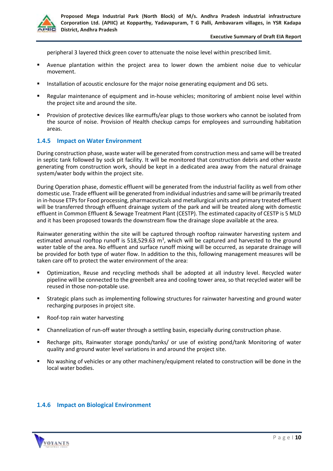

peripheral 3 layered thick green cover to attenuate the noise level within prescribed limit.

- Avenue plantation within the project area to lower down the ambient noise due to vehicular movement.
- Installation of acoustic enclosure for the major noise generating equipment and DG sets.
- Regular maintenance of equipment and in-house vehicles; monitoring of ambient noise level within the project site and around the site.
- Provision of protective devices like earmuffs/ear plugs to those workers who cannot be isolated from the source of noise. Provision of Health checkup camps for employees and surrounding habitation areas.

## **1.4.5 Impact on Water Environment**

During construction phase, waste water will be generated from construction mess and same will be treated in septic tank followed by sock pit facility. It will be monitored that construction debris and other waste generating from construction work, should be kept in a dedicated area away from the natural drainage system/water body within the project site.

During Operation phase, domestic effluent will be generated from the industrial facility as well from other domestic use. Trade effluent will be generated from individual industries and same will be primarily treated in in-house ETPs for Food processing, pharmaceuticals and metallurgical units and primary treated effluent will be transferred through effluent drainage system of the park and will be treated along with domestic effluent in Common Effluent & Sewage Treatment Plant (CESTP). The estimated capacity of CESTP is 5 MLD and it has been proposed towards the downstream flow the drainage slope available at the area.

Rainwater generating within the site will be captured through rooftop rainwater harvesting system and estimated annual rooftop runoff is 518,529.63  $m^3$ , which will be captured and harvested to the ground water table of the area. No effluent and surface runoff mixing will be occurred, as separate drainage will be provided for both type of water flow. In addition to the this, following management measures will be taken care off to protect the water environment of the area:

- Optimization, Reuse and recycling methods shall be adopted at all industry level. Recycled water pipeline will be connected to the greenbelt area and cooling tower area, so that recycled water will be reused in those non-potable use.
- **EXECT Strategic plans such as implementing following structures for rainwater harvesting and ground water** recharging purposes in project site.
- Roof-top rain water harvesting
- Channelization of run-off water through a settling basin, especially during construction phase.
- Recharge pits, Rainwater storage ponds/tanks/ or use of existing pond/tank Monitoring of water quality and ground water level variations in and around the project site.
- No washing of vehicles or any other machinery/equipment related to construction will be done in the local water bodies.

## **1.4.6 Impact on Biological Environment**

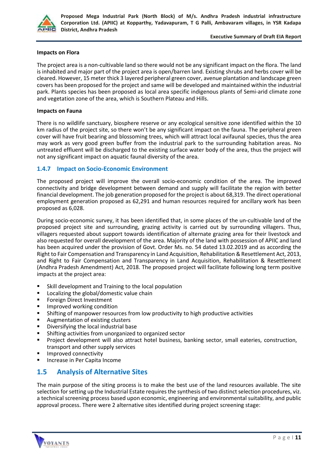

#### **Executive Summary of Draft EIA Report**

#### **Impacts on Flora**

The project area is a non-cultivable land so there would not be any significant impact on the flora. The land is inhabited and major part of the project area is open/barren land. Existing shrubs and herbs cover will be cleared. However, 15 meter thick 3 layered peripheral green cover, avenue plantation and landscape green covers has been proposed for the project and same will be developed and maintained within the industrial park. Plants species has been proposed as local area specific indigenous plants of Semi-arid climate zone and vegetation zone of the area, which is Southern Plateau and Hills.

#### **Impacts on Fauna**

There is no wildlife sanctuary, biosphere reserve or any ecological sensitive zone identified within the 10 km radius of the project site, so there won't be any significant impact on the fauna. The peripheral green cover will have fruit bearing and blossoming trees, which will attract local avifaunal species, thus the area may work as very good green buffer from the industrial park to the surrounding habitation areas. No untreated effluent will be discharged to the existing surface water body of the area, thus the project will not any significant impact on aquatic faunal diversity of the area.

## **1.4.7 Impact on Socio-Economic Environment**

The proposed project will improve the overall socio-economic condition of the area. The improved connectivity and bridge development between demand and supply will facilitate the region with better financial development. The job generation proposed for the project is about 68,319. The direct operational employment generation proposed as 62,291 and human resources required for ancillary work has been proposed as 6,028.

During socio-economic survey, it has been identified that, in some places of the un-cultivable land of the proposed project site and surrounding, grazing activity is carried out by surrounding villagers. Thus, villagers requested about support towards identification of alternate grazing area for their livestock and also requested for overall development of the area. Majority of the land with possession of APIIC and land has been acquired under the provision of Govt. Order Ms. no. 54 dated 13.02.2019 and as according the Right to Fair Compensation and Transparency in Land Acquisition, Rehabilitation & Resettlement Act, 2013, and Right to Fair Compensation and Transparency in Land Acquisition, Rehabilitation & Resettlement (Andhra Pradesh Amendment) Act, 2018. The proposed project will facilitate following long term positive impacts at the project area:

- Skill development and Training to the local population
- Localizing the global/domestic value chain
- Foreign Direct Investment
- Improved working condition
- **EXECT** Shifting of manpower resources from low productivity to high productive activities
- Augmentation of existing clusters
- Diversifying the local industrial base
- Shifting activities from unorganized to organized sector
- Project development will also attract hotel business, banking sector, small eateries, construction, transport and other supply services
- Improved connectivity
- Increase in Per Capita Income

# **1.5 Analysis of Alternative Sites**

The main purpose of the siting process is to make the best use of the land resources available. The site selection for setting up the Industrial Estate requires the synthesis of two distinct selection procedures, viz. a technical screening process based upon economic, engineering and environmental suitability, and public approval process. There were 2 alternative sites identified during project screening stage:

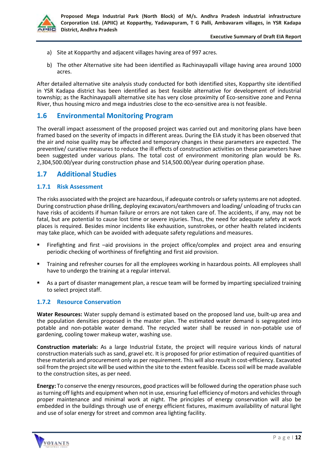

- a) Site at Kopparthy and adjacent villages having area of 997 acres.
- b) The other Alternative site had been identified as Rachinayapalli village having area around 1000 acres.

After detailed alternative site analysis study conducted for both identified sites, Kopparthy site identified in YSR Kadapa district has been identified as best feasible alternative for development of industrial township; as the Rachinayapalli alternative site has very close proximity of Eco-sensitive zone and Penna River, thus housing micro and mega industries close to the eco-sensitive area is not feasible.

# **1.6 Environmental Monitoring Program**

The overall impact assessment of the proposed project was carried out and monitoring plans have been framed based on the severity of impacts in different areas. During the EIA study it has been observed that the air and noise quality may be affected and temporary changes in these parameters are expected. The preventive/ curative measures to reduce the ill effects of construction activities on these parameters have been suggested under various plans. The total cost of environment monitoring plan would be Rs. 2,304,500.00/year during construction phase and 514,500.00/year during operation phase.

# **1.7 Additional Studies**

# **1.7.1 Risk Assessment**

The risks associated with the project are hazardous, if adequate controls or safety systems are not adopted. During construction phase drilling, deploying excavators/earthmovers and loading/ unloading of trucks can have risks of accidents if human failure or errors are not taken care of. The accidents, if any, may not be fatal, but are potential to cause lost time or severe injuries. Thus, the need for adequate safety at work places is required. Besides minor incidents like exhaustion, sunstrokes, or other health related incidents may take place, which can be avoided with adequate safety regulations and measures.

- Firefighting and first -aid provisions in the project office/complex and project area and ensuring periodic checking of worthiness of firefighting and first aid provision.
- Training and refresher courses for all the employees working in hazardous points. All employees shall have to undergo the training at a regular interval.
- As a part of disaster management plan, a rescue team will be formed by imparting specialized training to select project staff.

# **1.7.2 Resource Conservation**

**Water Resources:** Water supply demand is estimated based on the proposed land use, built‐up area and the population densities proposed in the master plan. The estimated water demand is segregated into potable and non-potable water demand. The recycled water shall be reused in non-potable use of gardening, cooling tower makeup water, washing use.

**Construction materials:** As a large Industrial Estate, the project will require various kinds of natural construction materials such as sand, gravel etc. It is proposed for prior estimation of required quantities of these materials and procurement only as per requirement. This will also result in cost-efficiency. Excavated soil from the project site will be used within the site to the extent feasible. Excess soil will be made available to the construction sites, as per need.

**Energy:** To conserve the energy resources, good practices will be followed during the operation phase such as turning off lights and equipment when not in use, ensuring fuel efficiency of motors and vehicles through proper maintenance and minimal work at night. The principles of energy conservation will also be embedded in the buildings through use of energy efficient fixtures, maximum availability of natural light and use of solar energy for street and common area lighting facility.

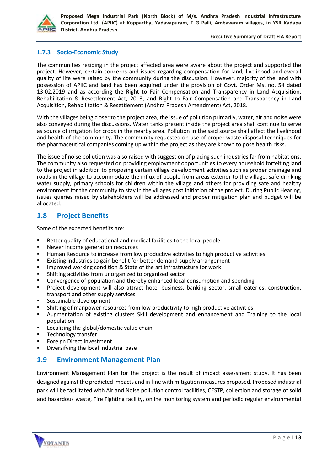

#### **Executive Summary of Draft EIA Report**

# **1.7.3 Socio-Economic Study**

The communities residing in the project affected area were aware about the project and supported the project. However, certain concerns and issues regarding compensation for land, livelihood and overall quality of life were raised by the community during the discussion. However, majority of the land with possession of APIIC and land has been acquired under the provision of Govt. Order Ms. no. 54 dated 13.02.2019 and as according the Right to Fair Compensation and Transparency in Land Acquisition, Rehabilitation & Resettlement Act, 2013, and Right to Fair Compensation and Transparency in Land Acquisition, Rehabilitation & Resettlement (Andhra Pradesh Amendment) Act, 2018.

With the villages being closer to the project area, the issue of pollution primarily, water, air and noise were also conveyed during the discussions. Water tanks present inside the project area shall continue to serve as source of irrigation for crops in the nearby area. Pollution in the said source shall affect the livelihood and health of the community. The community requested on use of proper waste disposal techniques for the pharmaceutical companies coming up within the project as they are known to pose health risks.

The issue of noise pollution was also raised with suggestion of placing such industries far from habitations. The community also requested on providing employment opportunities to every household forfeiting land to the project in addition to proposing certain village development activities such as proper drainage and roads in the village to accommodate the influx of people from areas exterior to the village, safe drinking water supply, primary schools for children within the village and others for providing safe and healthy environment for the community to stay in the villages post initiation of the project. During Public Hearing, issues queries raised by stakeholders will be addressed and proper mitigation plan and budget will be allocated.

# **1.8 Project Benefits**

Some of the expected benefits are:

- Better quality of educational and medical facilities to the local people<br>■ Newer Income generation resources
- Newer Income generation resources
- Human Resource to increase from low productive activities to high productive activities
- Existing industries to gain benefit for better demand-supply arrangement
- Improved working condition & State of the art infrastructure for work<br>■ Shifting activities from unorganized to organized sector
- Shifting activities from unorganized to organized sector
- Convergence of population and thereby enhanced local consumption and spending
- Project development will also attract hotel business, banking sector, small eateries, construction, transport and other supply services
- Sustainable development
- Shifting of manpower resources from low productivity to high productive activities
- Augmentation of existing clusters Skill development and enhancement and Training to the local population
- Localizing the global/domestic value chain
- Technology transfer
- **Foreign Direct Investment**
- Diversifying the local industrial base

# **1.9 Environment Management Plan**

Environment Management Plan for the project is the result of impact assessment study. It has been designed against the predicted impacts and in-line with mitigation measures proposed. Proposed industrial park will be facilitated with Air and Noise pollution control facilities, CESTP, collection and storage of solid and hazardous waste, Fire Fighting facility, online monitoring system and periodic regular environmental

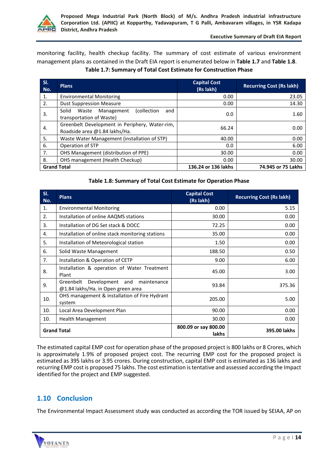

monitoring facility, health checkup facility. The summary of cost estimate of various environment management plans as contained in the Draft EIA report is enumerated below in **Table 1.7** and **Table 1.8**. **Table 1.7: Summary of Total Cost Estimate for Construction Phase**

| SI.<br>No.         | <b>Plans</b>                                                                    | <b>Capital Cost</b><br>(Rs lakh) | <b>Recurring Cost (Rs lakh)</b> |
|--------------------|---------------------------------------------------------------------------------|----------------------------------|---------------------------------|
| 1.                 | <b>Environmental Monitoring</b>                                                 | 0.00                             | 23.05                           |
| 2.                 | <b>Dust Suppression Measure</b>                                                 | 0.00                             | 14.30                           |
| 3.                 | (collection<br>Solid<br>Management<br>Waste<br>and<br>transportation of Waste)  | 0.0                              | 1.60                            |
| 4.                 | Greenbelt Development in Periphery, Water-rim,<br>Roadside area @1.84 lakhs/Ha. | 66.24                            | 0.00                            |
| 5.                 | Waste Water Management (installation of STP)                                    | 40.00                            | 0.00                            |
| 6.                 | Operation of STP                                                                | 0.0                              | 6.00                            |
| 7.                 | OHS Management (distribution of PPE)                                            | 30.00                            | 0.00                            |
| 8.                 | OHS management (Health Checkup)                                                 | 0.00                             | 30.00                           |
| <b>Grand Total</b> |                                                                                 | 136.24 or 136 lakhs              | 74.945 or 75 Lakhs              |

## **Table 1.8: Summary of Total Cost Estimate for Operation Phase**

| SI.<br>No.         | <b>Plans</b>                                                                         | <b>Capital Cost</b><br>(Rs lakh)     | <b>Recurring Cost (Rs lakh)</b> |
|--------------------|--------------------------------------------------------------------------------------|--------------------------------------|---------------------------------|
| 1.                 | <b>Environmental Monitoring</b>                                                      | 0.00                                 | 5.15                            |
| 2.                 | Installation of online AAQMS stations                                                | 30.00                                | 0.00                            |
| 3.                 | Installation of DG Set stack & DOCC                                                  | 72.25                                | 0.00                            |
| 4.                 | Installation of online stack monitoring stations                                     | 35.00                                | 0.00                            |
| 5.                 | Installation of Meteorological station                                               | 1.50                                 | 0.00                            |
| 6.                 | Solid Waste Management                                                               | 188.50                               | 0.50                            |
| 7.                 | Installation & Operation of CETP                                                     | 9.00                                 | 6.00                            |
| 8.                 | Installation & operation of Water Treatment<br>Plant                                 | 45.00                                | 3.00                            |
| 9.                 | Development<br>Greenbelt<br>maintenance<br>and<br>@1.84 lakhs/Ha. in Open green area | 93.84                                | 375.36                          |
| 10.                | OHS management & installation of Fire Hydrant<br>system                              | 205.00                               | 5.00                            |
| 10.                | Local Area Development Plan                                                          | 90.00                                | 0.00                            |
| 10.                | <b>Health Management</b>                                                             | 30.00                                | 0.00                            |
| <b>Grand Total</b> |                                                                                      | 800.09 or say 800.00<br><b>lakhs</b> | 395.00 lakhs                    |

The estimated capital EMP cost for operation phase of the proposed project is 800 lakhs or 8 Crores, which is approximately 1.9% of proposed project cost. The recurring EMP cost for the proposed project is estimated as 395 lakhs or 3.95 crores. During construction, capital EMP cost is estimated as 136 lakhs and recurring EMP cost is proposed 75 lakhs. The cost estimation is tentative and assessed according the Impact identified for the project and EMP suggested.

# **1.10 Conclusion**

The Environmental Impact Assessment study was conducted as according the TOR issued by SEIAA, AP on

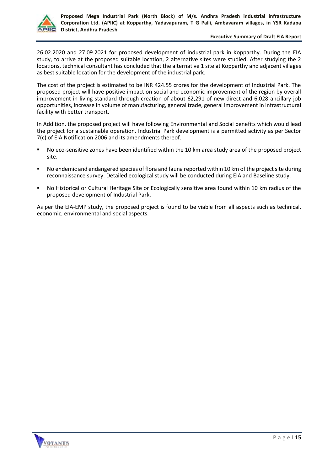

#### **Executive Summary of Draft EIA Report**

26.02.2020 and 27.09.2021 for proposed development of industrial park in Kopparthy. During the EIA study, to arrive at the proposed suitable location, 2 alternative sites were studied. After studying the 2 locations, technical consultant has concluded that the alternative 1 site at Kopparthy and adjacent villages as best suitable location for the development of the industrial park.

The cost of the project is estimated to be INR 424.55 crores for the development of Industrial Park. The proposed project will have positive impact on social and economic improvement of the region by overall improvement in living standard through creation of about 62,291 of new direct and 6,028 ancillary job opportunities, increase in volume of manufacturing, general trade, general improvement in infrastructural facility with better transport,

In Addition, the proposed project will have following Environmental and Social benefits which would lead the project for a sustainable operation. Industrial Park development is a permitted activity as per Sector 7(c) of EIA Notification 2006 and its amendments thereof.

- No eco-sensitive zones have been identified within the 10 km area study area of the proposed project site.
- No endemic and endangered species of flora and fauna reported within 10 km of the project site during reconnaissance survey. Detailed ecological study will be conducted during EIA and Baseline study.
- No Historical or Cultural Heritage Site or Ecologically sensitive area found within 10 km radius of the proposed development of Industrial Park.

As per the EIA-EMP study, the proposed project is found to be viable from all aspects such as technical, economic, environmental and social aspects.